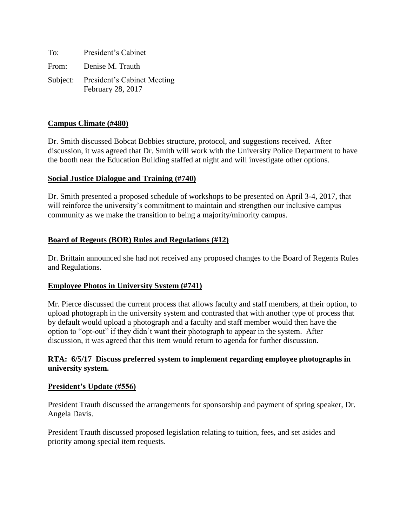| To: | President's Cabinet                                       |
|-----|-----------------------------------------------------------|
|     | From: Denise M. Trauth                                    |
|     | Subject: President's Cabinet Meeting<br>February 28, 2017 |

## **Campus Climate (#480)**

Dr. Smith discussed Bobcat Bobbies structure, protocol, and suggestions received. After discussion, it was agreed that Dr. Smith will work with the University Police Department to have the booth near the Education Building staffed at night and will investigate other options.

### **Social Justice Dialogue and Training (#740)**

Dr. Smith presented a proposed schedule of workshops to be presented on April 3-4, 2017, that will reinforce the university's commitment to maintain and strengthen our inclusive campus community as we make the transition to being a majority/minority campus.

### **Board of Regents (BOR) Rules and Regulations (#12)**

Dr. Brittain announced she had not received any proposed changes to the Board of Regents Rules and Regulations.

### **Employee Photos in University System (#741)**

Mr. Pierce discussed the current process that allows faculty and staff members, at their option, to upload photograph in the university system and contrasted that with another type of process that by default would upload a photograph and a faculty and staff member would then have the option to "opt-out" if they didn't want their photograph to appear in the system. After discussion, it was agreed that this item would return to agenda for further discussion.

### **RTA: 6/5/17 Discuss preferred system to implement regarding employee photographs in university system.**

### **President's Update (#556)**

President Trauth discussed the arrangements for sponsorship and payment of spring speaker, Dr. Angela Davis.

President Trauth discussed proposed legislation relating to tuition, fees, and set asides and priority among special item requests.